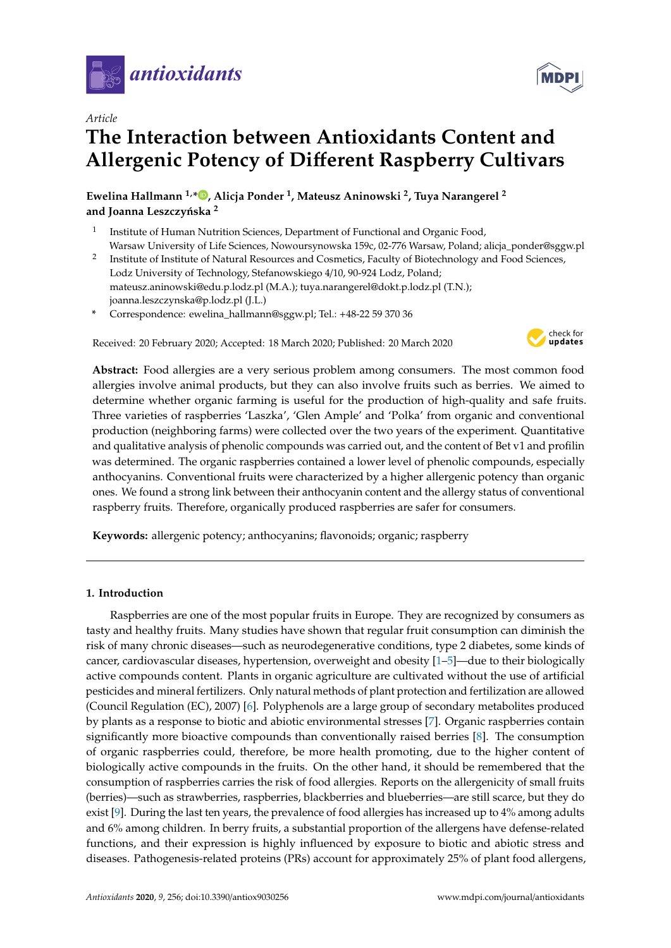

*Article*



# **The Interaction between Antioxidants Content and Allergenic Potency of Di**ff**erent Raspberry Cultivars**

**Ewelina Hallmann 1,\* [,](https://orcid.org/0000-0002-4855-7057) Alicja Ponder <sup>1</sup> , Mateusz Aninowski <sup>2</sup> , Tuya Narangerel <sup>2</sup>** and Joanna Leszczyńska<sup>2</sup>

- 1 Institute of Human Nutrition Sciences, Department of Functional and Organic Food, Warsaw University of Life Sciences, Nowoursynowska 159c, 02-776 Warsaw, Poland; alicja\_ponder@sggw.pl
- 2 Institute of Institute of Natural Resources and Cosmetics, Faculty of Biotechnology and Food Sciences, Lodz University of Technology, Stefanowskiego 4/10, 90-924 Lodz, Poland; mateusz.aninowski@edu.p.lodz.pl (M.A.); tuya.narangerel@dokt.p.lodz.pl (T.N.); joanna.leszczynska@p.lodz.pl (J.L.)
- **\*** Correspondence: ewelina\_hallmann@sggw.pl; Tel.: +48-22 59 370 36

Received: 20 February 2020; Accepted: 18 March 2020; Published: 20 March 2020



**Abstract:** Food allergies are a very serious problem among consumers. The most common food allergies involve animal products, but they can also involve fruits such as berries. We aimed to determine whether organic farming is useful for the production of high-quality and safe fruits. Three varieties of raspberries 'Laszka', 'Glen Ample' and 'Polka' from organic and conventional production (neighboring farms) were collected over the two years of the experiment. Quantitative and qualitative analysis of phenolic compounds was carried out, and the content of Bet v1 and profilin was determined. The organic raspberries contained a lower level of phenolic compounds, especially anthocyanins. Conventional fruits were characterized by a higher allergenic potency than organic ones. We found a strong link between their anthocyanin content and the allergy status of conventional raspberry fruits. Therefore, organically produced raspberries are safer for consumers.

**Keywords:** allergenic potency; anthocyanins; flavonoids; organic; raspberry

# **1. Introduction**

Raspberries are one of the most popular fruits in Europe. They are recognized by consumers as tasty and healthy fruits. Many studies have shown that regular fruit consumption can diminish the risk of many chronic diseases—such as neurodegenerative conditions, type 2 diabetes, some kinds of cancer, cardiovascular diseases, hypertension, overweight and obesity [\[1](#page-12-0)[–5\]](#page-12-1)—due to their biologically active compounds content. Plants in organic agriculture are cultivated without the use of artificial pesticides and mineral fertilizers. Only natural methods of plant protection and fertilization are allowed (Council Regulation (EC), 2007) [\[6\]](#page-12-2). Polyphenols are a large group of secondary metabolites produced by plants as a response to biotic and abiotic environmental stresses [\[7\]](#page-13-0). Organic raspberries contain significantly more bioactive compounds than conventionally raised berries [\[8\]](#page-13-1). The consumption of organic raspberries could, therefore, be more health promoting, due to the higher content of biologically active compounds in the fruits. On the other hand, it should be remembered that the consumption of raspberries carries the risk of food allergies. Reports on the allergenicity of small fruits (berries)—such as strawberries, raspberries, blackberries and blueberries—are still scarce, but they do exist [\[9\]](#page-13-2). During the last ten years, the prevalence of food allergies has increased up to 4% among adults and 6% among children. In berry fruits, a substantial proportion of the allergens have defense-related functions, and their expression is highly influenced by exposure to biotic and abiotic stress and diseases. Pathogenesis-related proteins (PRs) account for approximately 25% of plant food allergens,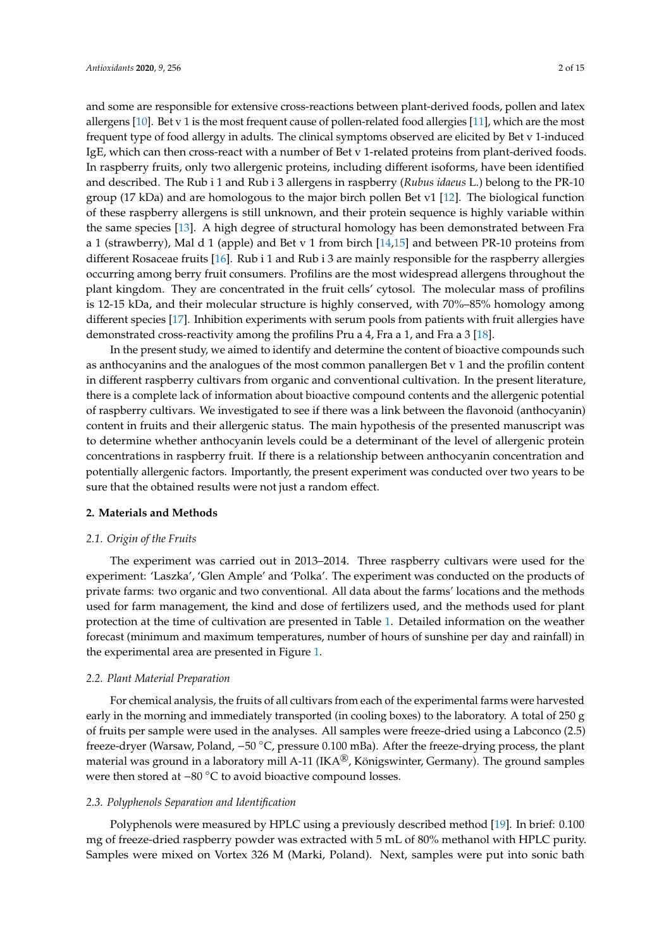and some are responsible for extensive cross-reactions between plant-derived foods, pollen and latex allergens [\[10\]](#page-13-3). Bet v 1 is the most frequent cause of pollen-related food allergies [\[11\]](#page-13-4), which are the most frequent type of food allergy in adults. The clinical symptoms observed are elicited by Bet v 1-induced IgE, which can then cross-react with a number of Bet v 1-related proteins from plant-derived foods. In raspberry fruits, only two allergenic proteins, including different isoforms, have been identified and described. The Rub i 1 and Rub i 3 allergens in raspberry (*Rubus idaeus* L.) belong to the PR-10 group (17 kDa) and are homologous to the major birch pollen Bet v1 [\[12\]](#page-13-5). The biological function of these raspberry allergens is still unknown, and their protein sequence is highly variable within the same species [\[13\]](#page-13-6). A high degree of structural homology has been demonstrated between Fra a 1 (strawberry), Mal d 1 (apple) and Bet v 1 from birch [\[14,](#page-13-7)[15\]](#page-13-8) and between PR-10 proteins from different Rosaceae fruits [\[16\]](#page-13-9). Rub i 1 and Rub i 3 are mainly responsible for the raspberry allergies occurring among berry fruit consumers. Profilins are the most widespread allergens throughout the plant kingdom. They are concentrated in the fruit cells' cytosol. The molecular mass of profilins

is 12-15 kDa, and their molecular structure is highly conserved, with 70%–85% homology among different species [\[17\]](#page-13-10). Inhibition experiments with serum pools from patients with fruit allergies have demonstrated cross-reactivity among the profilins Pru a 4, Fra a 1, and Fra a 3 [\[18\]](#page-13-11).

In the present study, we aimed to identify and determine the content of bioactive compounds such as anthocyanins and the analogues of the most common panallergen Bet v 1 and the profilin content in different raspberry cultivars from organic and conventional cultivation. In the present literature, there is a complete lack of information about bioactive compound contents and the allergenic potential of raspberry cultivars. We investigated to see if there was a link between the flavonoid (anthocyanin) content in fruits and their allergenic status. The main hypothesis of the presented manuscript was to determine whether anthocyanin levels could be a determinant of the level of allergenic protein concentrations in raspberry fruit. If there is a relationship between anthocyanin concentration and potentially allergenic factors. Importantly, the present experiment was conducted over two years to be sure that the obtained results were not just a random effect.

# **2. Materials and Methods**

## *2.1. Origin of the Fruits*

The experiment was carried out in 2013–2014. Three raspberry cultivars were used for the experiment: 'Laszka', 'Glen Ample' and 'Polka'. The experiment was conducted on the products of private farms: two organic and two conventional. All data about the farms' locations and the methods used for farm management, the kind and dose of fertilizers used, and the methods used for plant protection at the time of cultivation are presented in Table [1.](#page-3-0) Detailed information on the weather forecast (minimum and maximum temperatures, number of hours of sunshine per day and rainfall) in the experimental area are presented in Figure [1.](#page-2-0)

#### *2.2. Plant Material Preparation*

For chemical analysis, the fruits of all cultivars from each of the experimental farms were harvested early in the morning and immediately transported (in cooling boxes) to the laboratory. A total of 250 g of fruits per sample were used in the analyses. All samples were freeze-dried using a Labconco (2.5) freeze-dryer (Warsaw, Poland, −50 ◦C, pressure 0.100 mBa). After the freeze-drying process, the plant material was ground in a laboratory mill A-11 (IKA<sup>®</sup>, Königswinter, Germany). The ground samples were then stored at −80 °C to avoid bioactive compound losses.

#### *2.3. Polyphenols Separation and Identification*

Polyphenols were measured by HPLC using a previously described method [\[19\]](#page-13-12). In brief: 0.100 mg of freeze-dried raspberry powder was extracted with 5 mL of 80% methanol with HPLC purity. Samples were mixed on Vortex 326 M (Marki, Poland). Next, samples were put into sonic bath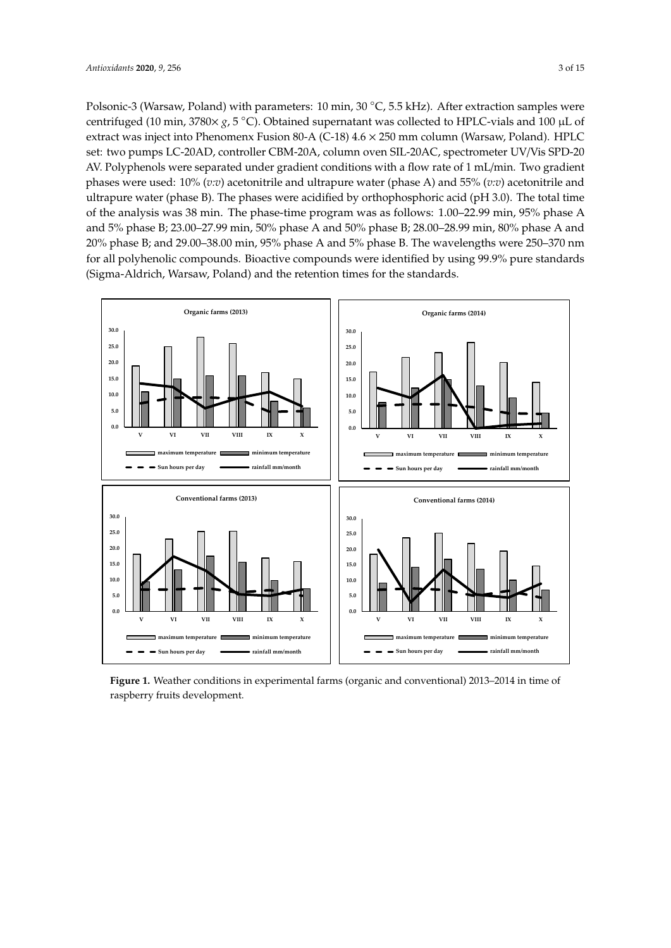Polsonic-3 (Warsaw, Poland) with parameters: 10 min, 30 ℃, 5.5 kHz). After extraction samples were centrifuged (10 min, 3780× *g*, 5 ◦C). Obtained supernatant was collected to HPLC-vials and 100 µL of extract was inject into Phenomenx Fusion 80-A (C-18) 4.6 × 250 mm column (Warsaw, Poland). HPLC set: two pumps LC-20AD, controller CBM-20A, column oven SIL-20AC, spectrometer UV/Vis SPD-20 AV. Polyphenols were separated under gradient conditions with a flow rate of 1 mL/min. Two gradient phases were used: 10% (*v:v*) acetonitrile and ultrapure water (phase A) and 55% (*v:v*) acetonitrile and ultrapure water (phase B). The phases were acidified by orthophosphoric acid (pH 3.0). The total time of the analysis was 38 min. The phase-time program was as follows: 1.00–22.99 min, 95% phase A and 5% phase B; 23.00–27.99 min, 50% phase A and 50% phase B; 28.00–28.99 min, 80% phase A and 20% phase B; and 29.00–38.00 min, 95% phase A and 5% phase B. The wavelengths were 250–370 nm for all polyhenolic compounds. Bioactive compounds were identified by using 99.9% pure standards (Sigma-Aldrich, Warsaw, Poland) and the retention times for the standards.

<span id="page-2-0"></span>

Figure 1. Weather conditions in experimental farms (organic and conventional) 2013-2014 in time of raspberry fruits development.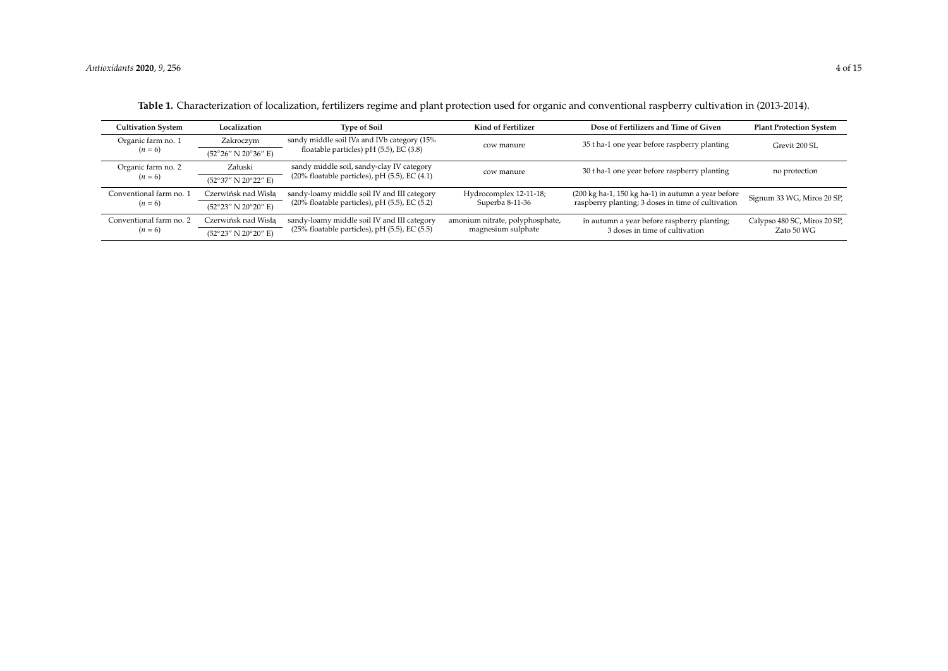<span id="page-3-0"></span>

| Cultivation System                   | Localization                                           | <b>Type of Soil</b>                                                                                  | Kind of Fertilizer                                    | Dose of Fertilizers and Time of Given                                                                    | <b>Plant Protection System</b>             |
|--------------------------------------|--------------------------------------------------------|------------------------------------------------------------------------------------------------------|-------------------------------------------------------|----------------------------------------------------------------------------------------------------------|--------------------------------------------|
| Organic farm no. 1                   | Zakroczym                                              | sandy middle soil IVa and IVb category (15%                                                          | cow manure                                            | 35 t ha-1 one year before raspberry planting                                                             | Grevit 200 SL                              |
| $(n = 6)$                            | $(52^{\circ}26'' \text{ N } 20^{\circ}36'' \text{ E})$ | floatable particles) pH $(5.5)$ , EC $(3.8)$                                                         |                                                       |                                                                                                          |                                            |
| Załuski<br>Organic farm no. 2        |                                                        | sandy middle soil, sandy-clay IV category                                                            | cow manure                                            | 30 t ha-1 one year before raspberry planting                                                             | no protection                              |
| $(n = 6)$                            | (52°37" N 20°22" E)                                    | $(20\%$ floatable particles), pH $(5.5)$ , EC $(4.1)$                                                |                                                       |                                                                                                          |                                            |
| Conventional farm no. 1              | Czerwińsk nad Wisła                                    | sandy-loamy middle soil IV and III category<br>$(20\%$ floatable particles), pH $(5.5)$ , EC $(5.2)$ | Hydrocomplex 12-11-18;<br>Superba 8-11-36             | (200 kg ha-1, 150 kg ha-1) in autumn a year before<br>raspberry planting; 3 doses in time of cultivation | Signum 33 WG, Miros 20 SP,                 |
| $(n = 6)$                            | $(52^{\circ}23'' \text{ N } 20^{\circ}20'' \text{ E})$ |                                                                                                      |                                                       |                                                                                                          |                                            |
| Conventional farm no. 2<br>$(n = 6)$ | Czerwińsk nad Wisła                                    | sandy-loamy middle soil IV and III category<br>$(25\%$ floatable particles), pH $(5.5)$ , EC $(5.5)$ | amonium nitrate, polyphosphate,<br>magnesium sulphate | in autumn a year before raspberry planting;<br>3 doses in time of cultivation                            | Calypso 480 SC, Miros 20 SP,<br>Zato 50 WG |
|                                      | $(52^{\circ}23'' \text{ N } 20^{\circ}20'' \text{ E})$ |                                                                                                      |                                                       |                                                                                                          |                                            |

**Table 1.** Characterization of localization, fertilizers regime and plant protection used for organic and conventional raspberry cultivation in (2013-2014).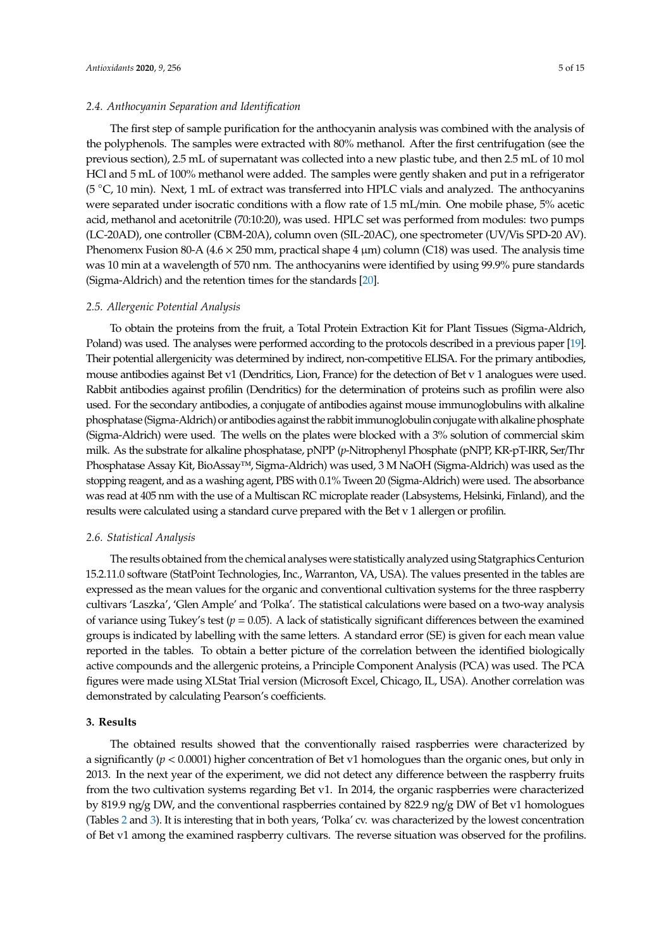## *2.4. Anthocyanin Separation and Identification*

The first step of sample purification for the anthocyanin analysis was combined with the analysis of the polyphenols. The samples were extracted with 80% methanol. After the first centrifugation (see the previous section), 2.5 mL of supernatant was collected into a new plastic tube, and then 2.5 mL of 10 mol HCl and 5 mL of 100% methanol were added. The samples were gently shaken and put in a refrigerator (5 ◦C, 10 min). Next, 1 mL of extract was transferred into HPLC vials and analyzed. The anthocyanins were separated under isocratic conditions with a flow rate of 1.5 mL/min. One mobile phase, 5% acetic acid, methanol and acetonitrile (70:10:20), was used. HPLC set was performed from modules: two pumps (LC-20AD), one controller (CBM-20A), column oven (SIL-20AC), one spectrometer (UV/Vis SPD-20 AV). Phenomenx Fusion 80-A ( $4.6 \times 250$  mm, practical shape  $4 \mu$ m) column (C18) was used. The analysis time was 10 min at a wavelength of 570 nm. The anthocyanins were identified by using 99.9% pure standards (Sigma-Aldrich) and the retention times for the standards [\[20\]](#page-13-13).

#### *2.5. Allergenic Potential Analysis*

To obtain the proteins from the fruit, a Total Protein Extraction Kit for Plant Tissues (Sigma-Aldrich, Poland) was used. The analyses were performed according to the protocols described in a previous paper [\[19\]](#page-13-12). Their potential allergenicity was determined by indirect, non-competitive ELISA. For the primary antibodies, mouse antibodies against Bet v1 (Dendritics, Lion, France) for the detection of Bet v 1 analogues were used. Rabbit antibodies against profilin (Dendritics) for the determination of proteins such as profilin were also used. For the secondary antibodies, a conjugate of antibodies against mouse immunoglobulins with alkaline phosphatase (Sigma-Aldrich) or antibodies against the rabbitimmunoglobulin conjugatewith alkaline phosphate (Sigma-Aldrich) were used. The wells on the plates were blocked with a 3% solution of commercial skim milk. As the substrate for alkaline phosphatase, pNPP (*p*-Nitrophenyl Phosphate (pNPP, KR-pT-IRR, Ser/Thr Phosphatase Assay Kit, BioAssay™, Sigma-Aldrich) was used, 3 M NaOH (Sigma-Aldrich) was used as the stopping reagent, and as a washing agent, PBS with 0.1% Tween 20 (Sigma-Aldrich) were used. The absorbance was read at 405 nm with the use of a Multiscan RC microplate reader (Labsystems, Helsinki, Finland), and the results were calculated using a standard curve prepared with the Bet v 1 allergen or profilin.

### *2.6. Statistical Analysis*

The results obtained from the chemical analyses were statistically analyzed using Statgraphics Centurion 15.2.11.0 software (StatPoint Technologies, Inc., Warranton, VA, USA). The values presented in the tables are expressed as the mean values for the organic and conventional cultivation systems for the three raspberry cultivars 'Laszka', 'Glen Ample' and 'Polka'. The statistical calculations were based on a two-way analysis of variance using Tukey's test ( $p = 0.05$ ). A lack of statistically significant differences between the examined groups is indicated by labelling with the same letters. A standard error (SE) is given for each mean value reported in the tables. To obtain a better picture of the correlation between the identified biologically active compounds and the allergenic proteins, a Principle Component Analysis (PCA) was used. The PCA figures were made using XLStat Trial version (Microsoft Excel, Chicago, IL, USA). Another correlation was demonstrated by calculating Pearson's coefficients.

# **3. Results**

The obtained results showed that the conventionally raised raspberries were characterized by a significantly (*p* < 0.0001) higher concentration of Bet v1 homologues than the organic ones, but only in 2013. In the next year of the experiment, we did not detect any difference between the raspberry fruits from the two cultivation systems regarding Bet v1. In 2014, the organic raspberries were characterized by 819.9 ng/g DW, and the conventional raspberries contained by 822.9 ng/g DW of Bet v1 homologues (Tables [2](#page-6-0) and [3\)](#page-7-0). It is interesting that in both years, 'Polka' cv. was characterized by the lowest concentration of Bet v1 among the examined raspberry cultivars. The reverse situation was observed for the profilins.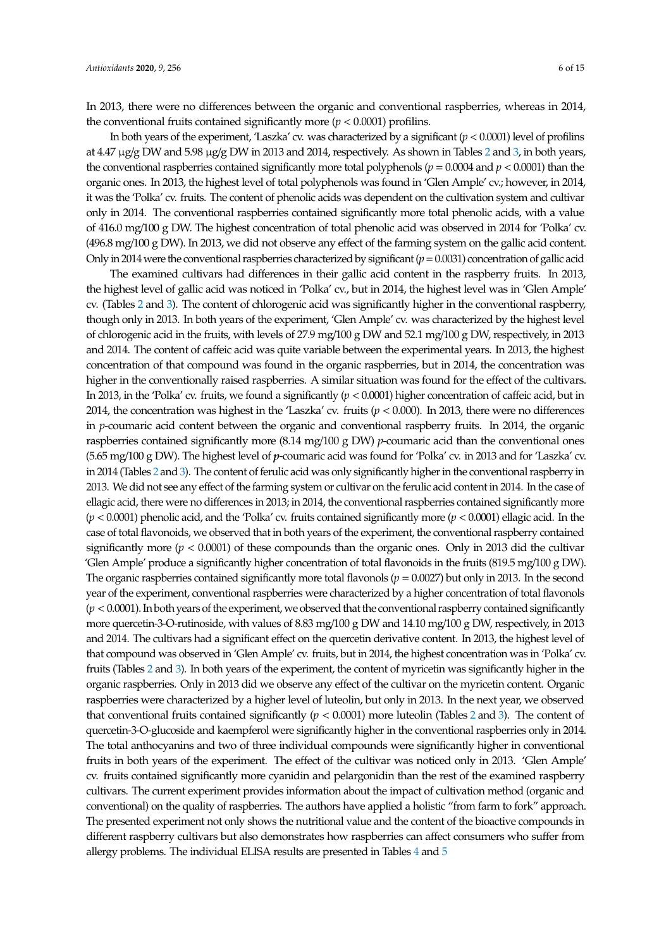In 2013, there were no differences between the organic and conventional raspberries, whereas in 2014, the conventional fruits contained significantly more  $(p < 0.0001)$  profilins.

In both years of the experiment, 'Laszka' cv. was characterized by a significant  $(p < 0.0001)$  level of profilins at 4.47 µg/g DW and 5.98 µg/g DW in 2013 and 2014, respectively. As shown in Tables [2](#page-6-0) and [3,](#page-7-0) in both years, the conventional raspberries contained significantly more total polyphenols ( $p = 0.0004$  and  $p < 0.0001$ ) than the organic ones. In 2013, the highest level of total polyphenols was found in 'Glen Ample' cv.; however, in 2014, it was the 'Polka' cv. fruits. The content of phenolic acids was dependent on the cultivation system and cultivar only in 2014. The conventional raspberries contained significantly more total phenolic acids, with a value of 416.0 mg/100 g DW. The highest concentration of total phenolic acid was observed in 2014 for 'Polka' cv. (496.8 mg/100 g DW). In 2013, we did not observe any effect of the farming system on the gallic acid content. Onlyin 2014 were the conventional raspberries characterized by significant (*p*=0.0031) concentration of gallic acid

The examined cultivars had differences in their gallic acid content in the raspberry fruits. In 2013, the highest level of gallic acid was noticed in 'Polka' cv., but in 2014, the highest level was in 'Glen Ample' cv. (Tables [2](#page-6-0) and [3\)](#page-7-0). The content of chlorogenic acid was significantly higher in the conventional raspberry, though only in 2013. In both years of the experiment, 'Glen Ample' cv. was characterized by the highest level of chlorogenic acid in the fruits, with levels of 27.9 mg/100 g DW and 52.1 mg/100 g DW, respectively, in 2013 and 2014. The content of caffeic acid was quite variable between the experimental years. In 2013, the highest concentration of that compound was found in the organic raspberries, but in 2014, the concentration was higher in the conventionally raised raspberries. A similar situation was found for the effect of the cultivars. In 2013, in the 'Polka' cv. fruits, we found a significantly (*p* < 0.0001) higher concentration of caffeic acid, but in 2014, the concentration was highest in the 'Laszka' cv. fruits  $(p < 0.000)$ . In 2013, there were no differences in *p*-coumaric acid content between the organic and conventional raspberry fruits. In 2014, the organic raspberries contained significantly more (8.14 mg/100 g DW) *p*-coumaric acid than the conventional ones (5.65 mg/100 g DW). The highest level of *p*-coumaric acid was found for 'Polka' cv. in 2013 and for 'Laszka' cv. in 2014 (Tables [2](#page-6-0) and [3\)](#page-7-0). The content of ferulic acid was only significantly higher in the conventional raspberry in 2013. We did not see any effect of the farming system or cultivar on the ferulic acid content in 2014. In the case of ellagic acid, there were no differences in 2013; in 2014, the conventional raspberries contained significantly more (*p* < 0.0001) phenolic acid, and the 'Polka' cv. fruits contained significantly more (*p* < 0.0001) ellagic acid. In the case of total flavonoids, we observed that in both years of the experiment, the conventional raspberry contained significantly more  $(p < 0.0001)$  of these compounds than the organic ones. Only in 2013 did the cultivar 'Glen Ample' produce a significantly higher concentration of total flavonoids in the fruits (819.5 mg/100 g DW). The organic raspberries contained significantly more total flavonols (*p* = 0.0027) but only in 2013. In the second year of the experiment, conventional raspberries were characterized by a higher concentration of total flavonols (*p* < 0.0001).In both years of the experiment, we observed that the conventional raspberry contained significantly more quercetin-3-O-rutinoside, with values of 8.83 mg/100 g DW and 14.10 mg/100 g DW, respectively, in 2013 and 2014. The cultivars had a significant effect on the quercetin derivative content. In 2013, the highest level of that compound was observed in 'Glen Ample' cv. fruits, but in 2014, the highest concentration was in 'Polka' cv. fruits (Tables [2](#page-6-0) and [3\)](#page-7-0). In both years of the experiment, the content of myricetin was significantly higher in the organic raspberries. Only in 2013 did we observe any effect of the cultivar on the myricetin content. Organic raspberries were characterized by a higher level of luteolin, but only in 2013. In the next year, we observed that conventional fruits contained significantly (*p* < 0.0001) more luteolin (Tables [2](#page-6-0) and [3\)](#page-7-0). The content of quercetin-3-O-glucoside and kaempferol were significantly higher in the conventional raspberries only in 2014. The total anthocyanins and two of three individual compounds were significantly higher in conventional fruits in both years of the experiment. The effect of the cultivar was noticed only in 2013. 'Glen Ample' cv. fruits contained significantly more cyanidin and pelargonidin than the rest of the examined raspberry cultivars. The current experiment provides information about the impact of cultivation method (organic and conventional) on the quality of raspberries. The authors have applied a holistic "from farm to fork" approach. The presented experiment not only shows the nutritional value and the content of the bioactive compounds in different raspberry cultivars but also demonstrates how raspberries can affect consumers who suffer from allergy problems. The individual ELISA results are presented in Tables [4](#page-8-0) and [5](#page-8-1)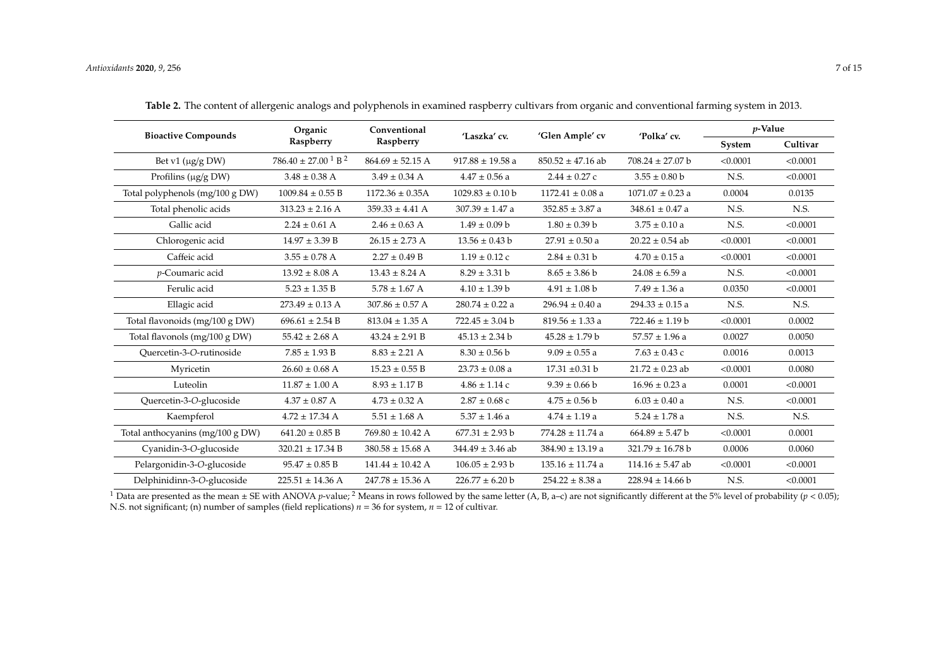| <b>Bioactive Compounds</b>       | Organic                                        | Conventional<br>Raspberry | 'Laszka' cv.         | 'Glen Ample' cv       | 'Polka' cv.          |          | <i>p</i> -Value |  |
|----------------------------------|------------------------------------------------|---------------------------|----------------------|-----------------------|----------------------|----------|-----------------|--|
|                                  | Raspberry                                      |                           |                      |                       |                      | System   | Cultivar        |  |
| Bet v1 $(\mu g/g$ DW)            | $786.40 \pm 27.00$ <sup>1</sup> B <sup>2</sup> | $864.69 \pm 52.15$ A      | $917.88 \pm 19.58$ a | $850.52 \pm 47.16$ ab | $708.24 \pm 27.07$ b | < 0.0001 | < 0.0001        |  |
| Profilins (µg/g DW)              | $3.48 \pm 0.38$ A                              | $3.49 \pm 0.34$ A         | $4.47 \pm 0.56$ a    | $2.44 \pm 0.27$ c     | $3.55 \pm 0.80$ b    | N.S.     | < 0.0001        |  |
| Total polyphenols (mg/100 g DW)  | $1009.84 \pm 0.55 B$                           | $1172.36 \pm 0.35A$       | $1029.83 \pm 0.10$ b | $1172.41 \pm 0.08$ a  | $1071.07 \pm 0.23$ a | 0.0004   | 0.0135          |  |
| Total phenolic acids             | $313.23 \pm 2.16$ A                            | $359.33 \pm 4.41$ A       | $307.39 \pm 1.47$ a  | $352.85 \pm 3.87$ a   | $348.61 \pm 0.47$ a  | N.S.     | N.S.            |  |
| Gallic acid                      | $2.24 \pm 0.61$ A                              | $2.46 \pm 0.63$ A         | $1.49 \pm 0.09 b$    | $1.80 \pm 0.39$ b     | $3.75 \pm 0.10$ a    | N.S.     | < 0.0001        |  |
| Chlorogenic acid                 | $14.97 \pm 3.39 B$                             | $26.15 \pm 2.73$ A        | $13.56 \pm 0.43$ b   | $27.91 \pm 0.50$ a    | $20.22 \pm 0.54$ ab  | < 0.0001 | < 0.0001        |  |
| Caffeic acid                     | $3.55 \pm 0.78$ A                              | $2.27 \pm 0.49$ B         | $1.19 \pm 0.12$ c    | $2.84 \pm 0.31$ b     | $4.70 \pm 0.15$ a    | < 0.0001 | < 0.0001        |  |
| p-Coumaric acid                  | $13.92 \pm 8.08$ A                             | $13.43 \pm 8.24$ A        | $8.29 \pm 3.31 b$    | $8.65 \pm 3.86$ b     | $24.08 \pm 6.59$ a   | N.S.     | < 0.0001        |  |
| Ferulic acid                     | $5.23 \pm 1.35 B$                              | $5.78 \pm 1.67$ A         | $4.10 \pm 1.39$ b    | $4.91 \pm 1.08$ b     | $7.49 \pm 1.36$ a    | 0.0350   | < 0.0001        |  |
| Ellagic acid                     | $273.49 \pm 0.13$ A                            | $307.86 \pm 0.57$ A       | $280.74 \pm 0.22$ a  | $296.94 \pm 0.40$ a   | $294.33 \pm 0.15$ a  | N.S.     | N.S.            |  |
| Total flavonoids (mg/100 g DW)   | $696.61 \pm 2.54 B$                            | $813.04 \pm 1.35$ A       | $722.45 \pm 3.04$ b  | $819.56 \pm 1.33$ a   | $722.46 \pm 1.19$ b  | < 0.0001 | 0.0002          |  |
| Total flavonols (mg/100 g DW)    | $55.42 \pm 2.68$ A                             | $43.24 \pm 2.91 B$        | $45.13 \pm 2.34$ b   | $45.28 \pm 1.79$ b    | $57.57 \pm 1.96$ a   | 0.0027   | 0.0050          |  |
| Ouercetin-3-O-rutinoside         | $7.85 \pm 1.93 B$                              | $8.83 \pm 2.21$ A         | $8.30 \pm 0.56 b$    | $9.09 \pm 0.55$ a     | $7.63 \pm 0.43$ c    | 0.0016   | 0.0013          |  |
| Myricetin                        | $26.60 \pm 0.68$ A                             | $15.23 \pm 0.55 B$        | $23.73 \pm 0.08$ a   | $17.31 \pm 0.31$ b    | $21.72 \pm 0.23$ ab  | < 0.0001 | 0.0080          |  |
| Luteolin                         | $11.87 \pm 1.00$ A                             | $8.93 \pm 1.17 B$         | $4.86 \pm 1.14$ c    | $9.39 \pm 0.66$ b     | $16.96 \pm 0.23$ a   | 0.0001   | < 0.0001        |  |
| Quercetin-3-O-glucoside          | $4.37 \pm 0.87$ A                              | $4.73 \pm 0.32$ A         | $2.87 \pm 0.68$ c    | $4.75 \pm 0.56$ b     | $6.03 \pm 0.40$ a    | N.S.     | < 0.0001        |  |
| Kaempferol                       | $4.72 \pm 17.34$ A                             | $5.51 \pm 1.68$ A         | $5.37 \pm 1.46$ a    | $4.74 \pm 1.19$ a     | $5.24 \pm 1.78$ a    | N.S.     | N.S.            |  |
| Total anthocyanins (mg/100 g DW) | $641.20 \pm 0.85 B$                            | $769.80 \pm 10.42$ A      | $677.31 \pm 2.93$ b  | $774.28 \pm 11.74$ a  | $664.89 \pm 5.47$ b  | < 0.0001 | 0.0001          |  |
| Cyanidin-3-O-glucoside           | $320.21 \pm 17.34 B$                           | $380.58 \pm 15.68$ A      | $344.49 \pm 3.46$ ab | $384.90 \pm 13.19$ a  | $321.79 \pm 16.78$ b | 0.0006   | 0.0060          |  |
| Pelargonidin-3-O-glucoside       | $95.47 \pm 0.85 B$                             | $141.44 \pm 10.42$ A      | $106.05 \pm 2.93 b$  | $135.16 \pm 11.74$ a  | $114.16 \pm 5.47$ ab | < 0.0001 | < 0.0001        |  |
| Delphinidinn-3-O-glucoside       | $225.51 \pm 14.36$ A                           | $247.78 \pm 15.36$ A      | $226.77 \pm 6.20$ b  | $254.22 \pm 8.38$ a   | $228.94 \pm 14.66 b$ | N.S.     | < 0.0001        |  |

**Table 2.** The content of allergenic analogs and polyphenols in examined raspberry cultivars from organic and conventional farming system in 2013.

<span id="page-6-0"></span><sup>1</sup> Data are presented as the mean  $\pm$  SE with ANOVA *p*-value; <sup>2</sup> Means in rows followed by the same letter (A, B, a–c) are not significantly different at the 5% level of probability (*p* < 0.05); N.S. not significant; (n) number of samples (field replications) *n* = 36 for system, *n* = 12 of cultivar.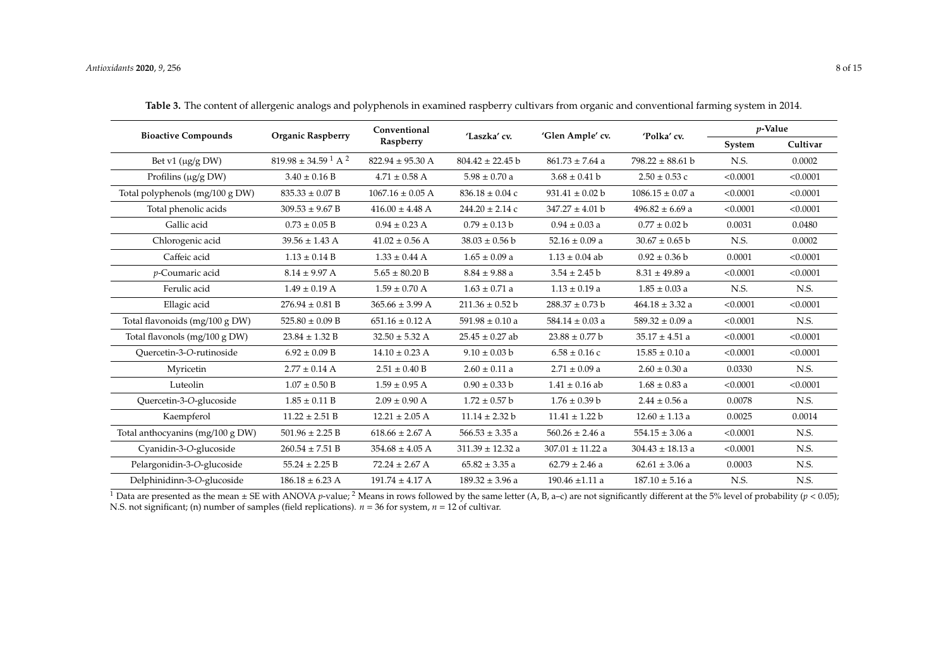| <b>Bioactive Compounds</b>       | <b>Organic Raspberry</b>       | Conventional<br>Raspberry | 'Laszka' cv.         | 'Glen Ample' cv.     | 'Polka' cv.          | $p$ -Value |          |
|----------------------------------|--------------------------------|---------------------------|----------------------|----------------------|----------------------|------------|----------|
|                                  |                                |                           |                      |                      |                      | System     | Cultivar |
| Bet v1 $(\mu g/g$ DW)            | $819.98 \pm 34.59$ $^1$ A $^2$ | $822.94 \pm 95.30$ A      | $804.42 \pm 22.45$ b | $861.73 \pm 7.64$ a  | $798.22 \pm 88.61$ b | N.S.       | 0.0002   |
| Profilins ( $\mu$ g/g DW)        | $3.40 \pm 0.16 B$              | $4.71 \pm 0.58$ A         | $5.98 \pm 0.70$ a    | $3.68 \pm 0.41$ b    | $2.50 \pm 0.53$ c    | < 0.0001   | < 0.0001 |
| Total polyphenols (mg/100 g DW)  | $835.33 \pm 0.07 B$            | $1067.16 \pm 0.05$ A      | $836.18 \pm 0.04$ c  | $931.41 \pm 0.02$ b  | $1086.15 \pm 0.07$ a | < 0.0001   | < 0.0001 |
| Total phenolic acids             | $309.53 \pm 9.67 B$            | $416.00 \pm 4.48$ A       | $244.20 \pm 2.14$ c  | $347.27 \pm 4.01$ b  | $496.82 \pm 6.69$ a  | < 0.0001   | < 0.0001 |
| Gallic acid                      | $0.73 \pm 0.05 B$              | $0.94 \pm 0.23$ A         | $0.79 \pm 0.13 b$    | $0.94 \pm 0.03$ a    | $0.77 \pm 0.02$ b    | 0.0031     | 0.0480   |
| Chlorogenic acid                 | $39.56 \pm 1.43$ A             | $41.02 \pm 0.56$ A        | $38.03 \pm 0.56$ b   | $52.16 \pm 0.09$ a   | $30.67 \pm 0.65$ b   | N.S.       | 0.0002   |
| Caffeic acid                     | $1.13 \pm 0.14 B$              | $1.33 \pm 0.44$ A         | $1.65 \pm 0.09$ a    | $1.13 \pm 0.04$ ab   | $0.92 \pm 0.36$ b    | 0.0001     | < 0.0001 |
| p-Coumaric acid                  | $8.14 \pm 9.97$ A              | $5.65 \pm 80.20 B$        | $8.84 \pm 9.88$ a    | $3.54 \pm 2.45$ b    | $8.31 \pm 49.89$ a   | < 0.0001   | < 0.0001 |
| Ferulic acid                     | $1.49 \pm 0.19$ A              | $1.59 \pm 0.70$ A         | $1.63 \pm 0.71$ a    | $1.13 \pm 0.19$ a    | $1.85 \pm 0.03$ a    | N.S.       | N.S.     |
| Ellagic acid                     | $276.94 \pm 0.81 B$            | $365.66 \pm 3.99$ A       | $211.36 \pm 0.52$ b  | $288.37 \pm 0.73$ b  | $464.18 \pm 3.32$ a  | < 0.0001   | < 0.0001 |
| Total flavonoids (mg/100 g DW)   | $525.80 \pm 0.09 B$            | $651.16 \pm 0.12$ A       | $591.98 \pm 0.10$ a  | $584.14 \pm 0.03$ a  | $589.32 \pm 0.09$ a  | < 0.0001   | N.S.     |
| Total flavonols $(mg/100 g DW)$  | $23.84 \pm 1.32 B$             | $32.50 \pm 5.32$ A        | $25.45 \pm 0.27$ ab  | $23.88 \pm 0.77$ b   | $35.17 \pm 4.51$ a   | < 0.0001   | < 0.0001 |
| Ouercetin-3-O-rutinoside         | $6.92 \pm 0.09 B$              | $14.10 \pm 0.23$ A        | $9.10 \pm 0.03$ b    | $6.58 \pm 0.16$ c    | $15.85 \pm 0.10$ a   | < 0.0001   | < 0.0001 |
| Myricetin                        | $2.77 \pm 0.14$ A              | $2.51 \pm 0.40 B$         | $2.60 \pm 0.11$ a    | $2.71 \pm 0.09$ a    | $2.60 \pm 0.30$ a    | 0.0330     | N.S.     |
| Luteolin                         | $1.07 \pm 0.50 B$              | $1.59 \pm 0.95$ A         | $0.90 \pm 0.33 b$    | $1.41 \pm 0.16$ ab   | $1.68 \pm 0.83$ a    | < 0.0001   | < 0.0001 |
| Quercetin-3-O-glucoside          | $1.85 \pm 0.11 B$              | $2.09 \pm 0.90$ A         | $1.72 \pm 0.57$ b    | $1.76 \pm 0.39$ b    | $2.44 \pm 0.56$ a    | 0.0078     | N.S.     |
| Kaempferol                       | $11.22 \pm 2.51 B$             | $12.21 \pm 2.05$ A        | $11.14 \pm 2.32 b$   | $11.41 \pm 1.22 b$   | $12.60 \pm 1.13$ a   | 0.0025     | 0.0014   |
| Total anthocyanins (mg/100 g DW) | $501.96 \pm 2.25 B$            | $618.66 \pm 2.67$ A       | $566.53 \pm 3.35$ a  | $560.26 \pm 2.46$ a  | $554.15 \pm 3.06$ a  | < 0.0001   | N.S.     |
| Cyanidin-3-O-glucoside           | $260.54 \pm 7.51 B$            | $354.68 \pm 4.05$ A       | $311.39 \pm 12.32$ a | $307.01 \pm 11.22$ a | $304.43 \pm 18.13$ a | < 0.0001   | N.S.     |
| Pelargonidin-3-O-glucoside       | $55.24 \pm 2.25 B$             | $72.24 \pm 2.67$ A        | $65.82 \pm 3.35$ a   | $62.79 \pm 2.46$ a   | $62.61 \pm 3.06$ a   | 0.0003     | N.S.     |
| Delphinidinn-3-O-glucoside       | $186.18 \pm 6.23$ A            | $191.74 \pm 4.17$ A       | $189.32 \pm 3.96$ a  | $190.46 \pm 1.11$ a  | $187.10 \pm 5.16$ a  | N.S.       | N.S.     |

**Table 3.** The content of allergenic analogs and polyphenols in examined raspberry cultivars from organic and conventional farming system in 2014.

<span id="page-7-0"></span><sup>1</sup> Data are presented as the mean  $\pm$  SE with ANOVA *p*-value; <sup>2</sup> Means in rows followed by the same letter (A, B, a–c) are not significantly different at the 5% level of probability (*p* < 0.05); N.S. not significant; (n) number of samples (field replications). *n* = 36 for system, *n* = 12 of cultivar.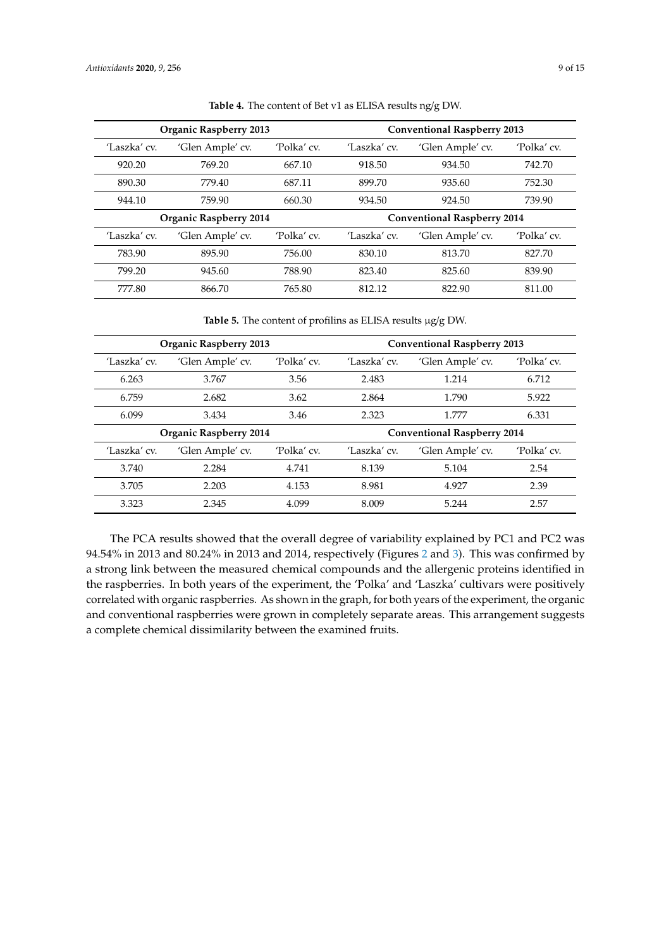<span id="page-8-0"></span>

|              | <b>Organic Raspberry 2013</b> |                  | <b>Conventional Raspberry 2013</b> |                  |             |  |
|--------------|-------------------------------|------------------|------------------------------------|------------------|-------------|--|
| 'Laszka' cv. | 'Glen Ample' cv.              | 'Polka' cv.      | 'Laszka' cv.                       | 'Glen Ample' cv. | 'Polka' cv. |  |
| 920.20       | 769.20                        | 667.10           | 918.50                             | 934.50           | 742.70      |  |
| 890.30       | 779.40                        | 687.11           | 899.70                             | 935.60           | 752.30      |  |
| 944.10       | 759.90                        | 660.30<br>934.50 |                                    | 924.50           | 739.90      |  |
|              | <b>Organic Raspberry 2014</b> |                  | <b>Conventional Raspberry 2014</b> |                  |             |  |
| 'Laszka' cv. | 'Glen Ample' cv.              | 'Polka' cv.      | 'Laszka' cv.                       | 'Glen Ample' cv. | 'Polka' cv. |  |
| 783.90       | 895.90                        | 756.00           | 830.10                             | 813.70           | 827.70      |  |
| 799.20       | 945.60                        | 788.90           | 823.40                             | 825.60           | 839.90      |  |
| 777.80       | 866.70                        | 765.80           | 812.12                             | 822.90           | 811.00      |  |

**Table 4.** The content of Bet v1 as ELISA results ng/g DW.

**Table 5.** The content of profilins as ELISA results µg/g DW.

<span id="page-8-1"></span>

|              | <b>Organic Raspberry 2013</b> |             | <b>Conventional Raspberry 2013</b> |                  |             |  |
|--------------|-------------------------------|-------------|------------------------------------|------------------|-------------|--|
| 'Laszka' cv. | 'Glen Ample' cv.              | 'Polka' cv. | 'Laszka' cv.                       | 'Glen Ample' cv. | 'Polka' cv. |  |
| 6.263        | 3.767                         | 3.56        | 2.483                              | 1.214            | 6.712       |  |
| 6.759        | 2.682                         | 3.62        | 2.864                              | 1.790            | 5.922       |  |
| 6.099        | 3.434                         | 3.46        | 2.323                              | 1.777            | 6.331       |  |
|              | <b>Organic Raspberry 2014</b> |             | <b>Conventional Raspberry 2014</b> |                  |             |  |
| 'Laszka' cv. | 'Glen Ample' cv.              | 'Polka' cv. | 'Laszka' cv.                       | 'Glen Ample' cv. | 'Polka' cv. |  |
| 3.740        | 2.284                         | 4.741       | 8.139                              | 5.104            | 2.54        |  |
| 3.705        | 2.203                         | 4.153       | 8.981                              | 4.927            | 2.39        |  |
| 3.323        | 2.345                         | 4.099       | 8.009                              | 5.244            | 2.57        |  |

The PCA results showed that the overall degree of variability explained by PC1 and PC2 was 94.54% in 2013 and 80.24% in 2013 and 2014, respectively (Figures [2](#page-9-0) and [3\)](#page-9-1). This was confirmed by a strong link between the measured chemical compounds and the allergenic proteins identified in the raspberries. In both years of the experiment, the 'Polka' and 'Laszka' cultivars were positively correlated with organic raspberries. As shown in the graph, for both years of the experiment, the organic and conventional raspberries were grown in completely separate areas. This arrangement suggests a complete chemical dissimilarity between the examined fruits.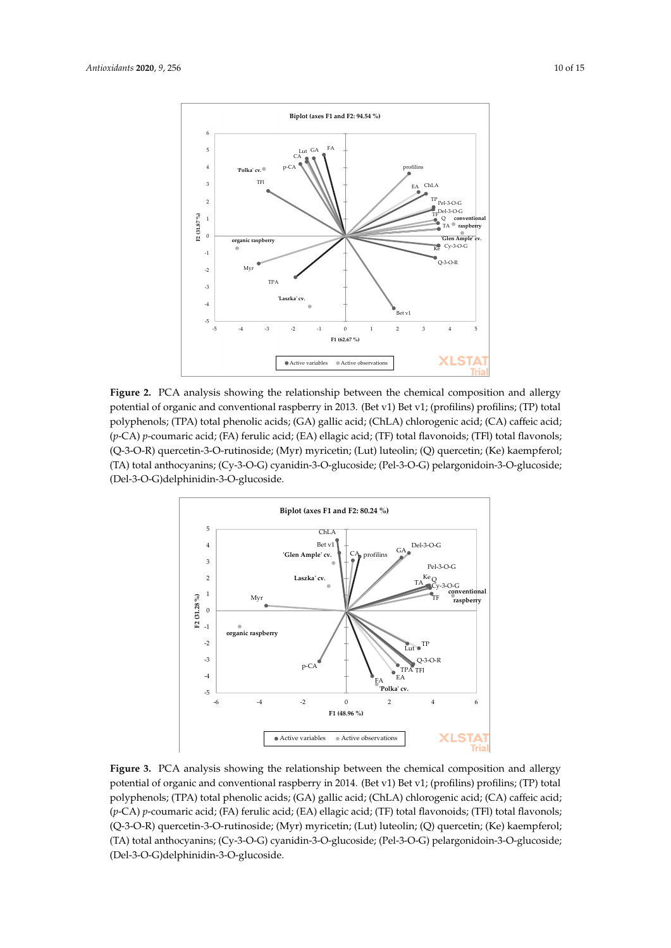<span id="page-9-0"></span>

Figure 2. PCA analysis showing the relationship between the chemical composition and allergy potential of organic and conventional raspberry in 2013. (Bet v1) Bet v1; (profilins) profilins; (TP) total polyphenols; (TPA) total phenolic acids; (GA) gallic acid; (ChLA) chlorogenic acid; (CA) caffeic acid; (p-CA) p-coumaric acid; (FA) ferulic acid; (EA) ellagic acid; (TF) total flavonoids; (TFl) total flavonols; (Q-3-O-R) quercetin-3-O-rutinoside; (Myr) myricetin; (Lut) luteolin; (Q) quercetin; (Ke) kaempferol; (TA) total anthocyanins; (Cy-3-O-G) cyanidin-3-O-glucoside; (Pel-3-O-G) pelargonidoin-3-O-glucoside; glucoside; (Del-3-O-G)delphinidin-3-O-glucoside. (Del-3-O-G)delphinidin-3-O-glucoside. glucoside; (Del-3-O-G)delphinidin-3-O-glucoside.

<span id="page-9-1"></span>

Figure 3. PCA analysis showing the relationship between the chemical composition and allergy potential of organic and conventional raspberry in 2014. (Bet v1) Bet v1; (profilins) profilins; (TP) total polyphenols; (TPA) total phenolic acids; (GA) gallic acid; (ChLA) chlorogenic acid; (CA) caffeic acid; (*p*-CA) *p*-coumaric acid; (FA) ferulic acid; (EA) ellagic acid; (TF) total flavonoids; (TFl) total flavonols;  $\alpha$ 3)  $\beta$ -orientation-3-O-rutinoside; (Myr) muricetin; (Lut) luteolin; (Ke) kaempferol; (XX) kaempferol; (XX) kaempferol; (XX) kaempferol; (XX) kaempferol; (XX) kaempferol; (XX) kaempferol; (XX) kaempferol; (XX) kaempfe (TA) total anthocyanins; (Cy-3-O-G) cyanidin-3-O-glucoside; (Pel-3-O-G) pelargonidoin-3-O- $\mathcal{L}$  with anthologianities,  $(\mathcal{C}y^{-1})$   $\mathcal{C}y$  definition-3-O-g (p-CA) p-coumaric acid; (FA) ferulic acid; (EA) ellagic acid; (TF) total flavonoids; (TFl) total flavonols; (Q-3-O-R) quercetin-3-O-rutinoside; (Myr) myricetin; (Lut) luteolin; (Q) quercetin; (Ke) kaempferol; (Q-3-O-R) quercetin-3-O-rutinoside; (Myr) myricetin; (Lut) luteolin; (Q) quercetin; (Ke) kaempferol; (TA) total anthocyanins; (Cy-3-O-G) cyanidin-3-O-glucoside; (Pel-3-O-G) pelargonidoin-3-O-(TA) total anthocyanins; (Cy-3-O-G) cyanidin-3-O-glucoside; (Pel-3-O-G) pelargonidoin-3-O-glucoside; glucoside; (Del-3-O-G)delphinidin-3-O-glucoside. (Del-3-O-G)delphinidin-3-O-glucoside.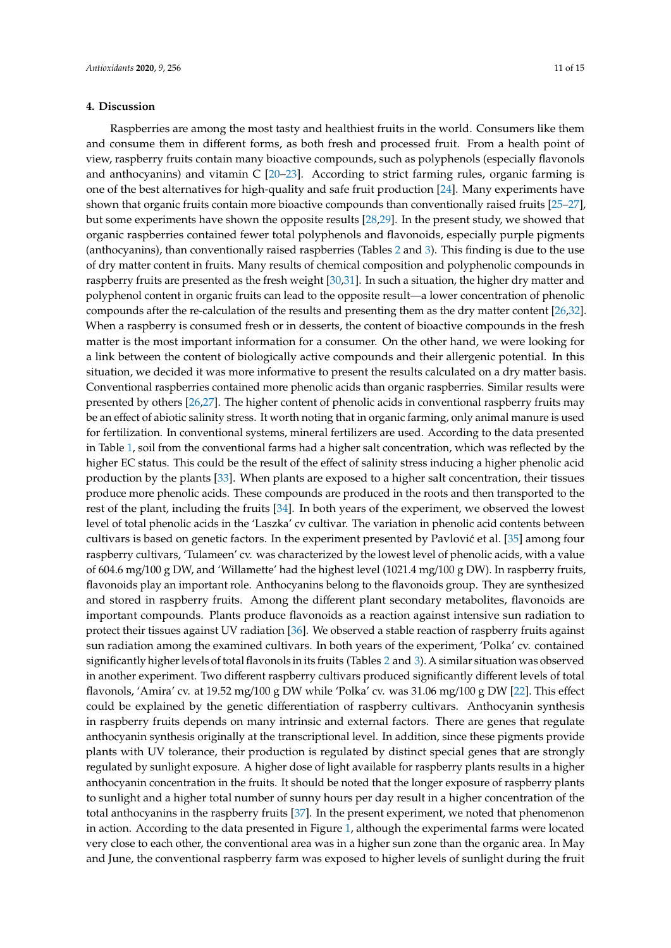## **4. Discussion**

Raspberries are among the most tasty and healthiest fruits in the world. Consumers like them and consume them in different forms, as both fresh and processed fruit. From a health point of view, raspberry fruits contain many bioactive compounds, such as polyphenols (especially flavonols and anthocyanins) and vitamin C [\[20–](#page-13-13)[23\]](#page-13-14). According to strict farming rules, organic farming is one of the best alternatives for high-quality and safe fruit production [\[24\]](#page-13-15). Many experiments have shown that organic fruits contain more bioactive compounds than conventionally raised fruits [\[25](#page-13-16)[–27\]](#page-14-0), but some experiments have shown the opposite results [\[28,](#page-14-1)[29\]](#page-14-2). In the present study, we showed that organic raspberries contained fewer total polyphenols and flavonoids, especially purple pigments (anthocyanins), than conventionally raised raspberries (Tables [2](#page-6-0) and [3\)](#page-7-0). This finding is due to the use of dry matter content in fruits. Many results of chemical composition and polyphenolic compounds in raspberry fruits are presented as the fresh weight [\[30,](#page-14-3)[31\]](#page-14-4). In such a situation, the higher dry matter and polyphenol content in organic fruits can lead to the opposite result—a lower concentration of phenolic compounds after the re-calculation of the results and presenting them as the dry matter content [\[26](#page-13-17)[,32\]](#page-14-5). When a raspberry is consumed fresh or in desserts, the content of bioactive compounds in the fresh matter is the most important information for a consumer. On the other hand, we were looking for a link between the content of biologically active compounds and their allergenic potential. In this situation, we decided it was more informative to present the results calculated on a dry matter basis. Conventional raspberries contained more phenolic acids than organic raspberries. Similar results were presented by others [\[26,](#page-13-17)[27\]](#page-14-0). The higher content of phenolic acids in conventional raspberry fruits may be an effect of abiotic salinity stress. It worth noting that in organic farming, only animal manure is used for fertilization. In conventional systems, mineral fertilizers are used. According to the data presented in Table [1,](#page-3-0) soil from the conventional farms had a higher salt concentration, which was reflected by the higher EC status. This could be the result of the effect of salinity stress inducing a higher phenolic acid production by the plants [\[33\]](#page-14-6). When plants are exposed to a higher salt concentration, their tissues produce more phenolic acids. These compounds are produced in the roots and then transported to the rest of the plant, including the fruits [\[34\]](#page-14-7). In both years of the experiment, we observed the lowest level of total phenolic acids in the 'Laszka' cv cultivar. The variation in phenolic acid contents between cultivars is based on genetic factors. In the experiment presented by Pavlović et al.  $[35]$  among four raspberry cultivars, 'Tulameen' cv. was characterized by the lowest level of phenolic acids, with a value of 604.6 mg/100 g DW, and 'Willamette' had the highest level (1021.4 mg/100 g DW). In raspberry fruits, flavonoids play an important role. Anthocyanins belong to the flavonoids group. They are synthesized and stored in raspberry fruits. Among the different plant secondary metabolites, flavonoids are important compounds. Plants produce flavonoids as a reaction against intensive sun radiation to protect their tissues against UV radiation [\[36\]](#page-14-9). We observed a stable reaction of raspberry fruits against sun radiation among the examined cultivars. In both years of the experiment, 'Polka' cv. contained significantly higher levels of total flavonols in its fruits (Tables [2](#page-6-0) and [3\)](#page-7-0). A similar situation was observed in another experiment. Two different raspberry cultivars produced significantly different levels of total flavonols, 'Amira' cv. at 19.52 mg/100 g DW while 'Polka' cv. was 31.06 mg/100 g DW [\[22\]](#page-13-18). This effect could be explained by the genetic differentiation of raspberry cultivars. Anthocyanin synthesis in raspberry fruits depends on many intrinsic and external factors. There are genes that regulate anthocyanin synthesis originally at the transcriptional level. In addition, since these pigments provide plants with UV tolerance, their production is regulated by distinct special genes that are strongly regulated by sunlight exposure. A higher dose of light available for raspberry plants results in a higher anthocyanin concentration in the fruits. It should be noted that the longer exposure of raspberry plants to sunlight and a higher total number of sunny hours per day result in a higher concentration of the total anthocyanins in the raspberry fruits [\[37\]](#page-14-10). In the present experiment, we noted that phenomenon in action. According to the data presented in Figure [1,](#page-2-0) although the experimental farms were located very close to each other, the conventional area was in a higher sun zone than the organic area. In May and June, the conventional raspberry farm was exposed to higher levels of sunlight during the fruit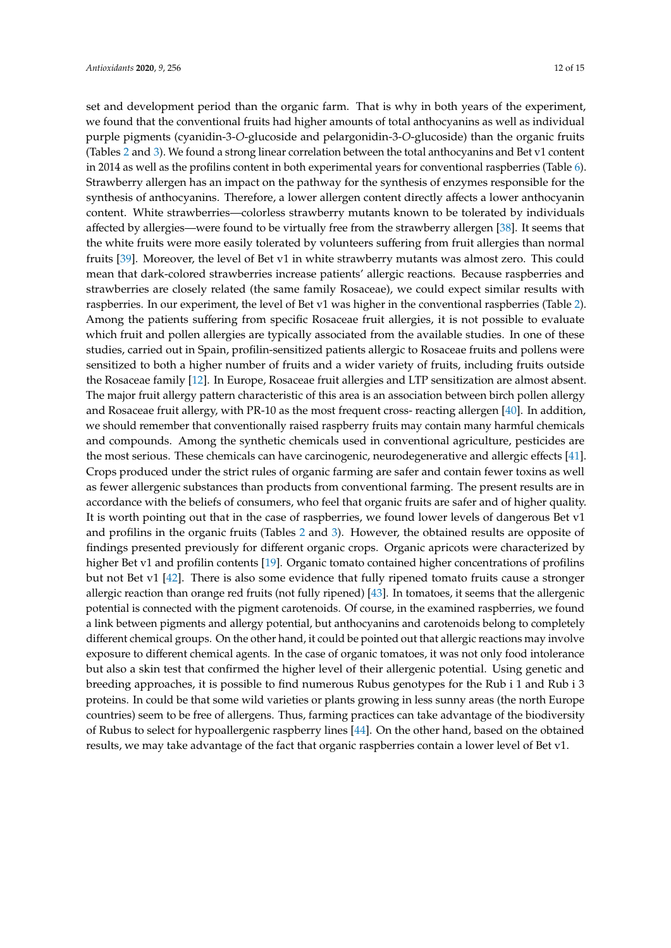set and development period than the organic farm. That is why in both years of the experiment, we found that the conventional fruits had higher amounts of total anthocyanins as well as individual purple pigments (cyanidin-3-*O*-glucoside and pelargonidin-3-*O*-glucoside) than the organic fruits (Tables [2](#page-6-0) and [3\)](#page-7-0). We found a strong linear correlation between the total anthocyanins and Bet v1 content in 2014 as well as the profilins content in both experimental years for conventional raspberries (Table [6\)](#page-12-3). Strawberry allergen has an impact on the pathway for the synthesis of enzymes responsible for the synthesis of anthocyanins. Therefore, a lower allergen content directly affects a lower anthocyanin content. White strawberries—colorless strawberry mutants known to be tolerated by individuals affected by allergies—were found to be virtually free from the strawberry allergen [\[38\]](#page-14-11). It seems that the white fruits were more easily tolerated by volunteers suffering from fruit allergies than normal fruits [\[39\]](#page-14-12). Moreover, the level of Bet v1 in white strawberry mutants was almost zero. This could mean that dark-colored strawberries increase patients' allergic reactions. Because raspberries and strawberries are closely related (the same family Rosaceae), we could expect similar results with raspberries. In our experiment, the level of Bet v1 was higher in the conventional raspberries (Table [2\)](#page-6-0). Among the patients suffering from specific Rosaceae fruit allergies, it is not possible to evaluate which fruit and pollen allergies are typically associated from the available studies. In one of these studies, carried out in Spain, profilin-sensitized patients allergic to Rosaceae fruits and pollens were sensitized to both a higher number of fruits and a wider variety of fruits, including fruits outside the Rosaceae family [\[12\]](#page-13-5). In Europe, Rosaceae fruit allergies and LTP sensitization are almost absent. The major fruit allergy pattern characteristic of this area is an association between birch pollen allergy and Rosaceae fruit allergy, with PR-10 as the most frequent cross- reacting allergen [\[40\]](#page-14-13). In addition, we should remember that conventionally raised raspberry fruits may contain many harmful chemicals and compounds. Among the synthetic chemicals used in conventional agriculture, pesticides are the most serious. These chemicals can have carcinogenic, neurodegenerative and allergic effects [\[41\]](#page-14-14). Crops produced under the strict rules of organic farming are safer and contain fewer toxins as well as fewer allergenic substances than products from conventional farming. The present results are in accordance with the beliefs of consumers, who feel that organic fruits are safer and of higher quality. It is worth pointing out that in the case of raspberries, we found lower levels of dangerous Bet v1 and profilins in the organic fruits (Tables [2](#page-6-0) and [3\)](#page-7-0). However, the obtained results are opposite of findings presented previously for different organic crops. Organic apricots were characterized by higher Bet v1 and profilin contents [\[19\]](#page-13-12). Organic tomato contained higher concentrations of profilins but not Bet v1 [\[42\]](#page-14-15). There is also some evidence that fully ripened tomato fruits cause a stronger allergic reaction than orange red fruits (not fully ripened) [\[43\]](#page-14-16). In tomatoes, it seems that the allergenic potential is connected with the pigment carotenoids. Of course, in the examined raspberries, we found a link between pigments and allergy potential, but anthocyanins and carotenoids belong to completely different chemical groups. On the other hand, it could be pointed out that allergic reactions may involve exposure to different chemical agents. In the case of organic tomatoes, it was not only food intolerance but also a skin test that confirmed the higher level of their allergenic potential. Using genetic and breeding approaches, it is possible to find numerous Rubus genotypes for the Rub i 1 and Rub i 3 proteins. In could be that some wild varieties or plants growing in less sunny areas (the north Europe countries) seem to be free of allergens. Thus, farming practices can take advantage of the biodiversity of Rubus to select for hypoallergenic raspberry lines [\[44\]](#page-14-17). On the other hand, based on the obtained results, we may take advantage of the fact that organic raspberries contain a lower level of Bet v1.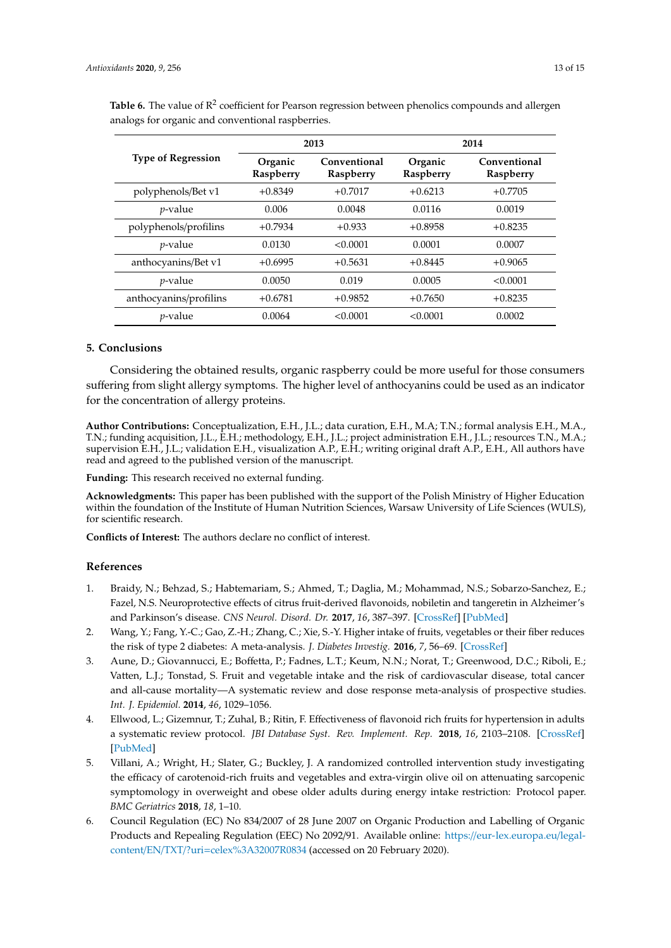|                           |                      | 2013                             | 2014      |                                  |  |
|---------------------------|----------------------|----------------------------------|-----------|----------------------------------|--|
| <b>Type of Regression</b> | Organic<br>Raspberry | Conventional<br><b>Raspberry</b> |           | Conventional<br><b>Raspberry</b> |  |
| polyphenols/Bet v1        | $+0.8349$            | $+0.7017$                        | $+0.6213$ | $+0.7705$                        |  |
| $p$ -value                | 0.006                | 0.0048                           | 0.0116    | 0.0019                           |  |
| polyphenols/profilins     | $+0.7934$            | $+0.933$                         | $+0.8958$ | $+0.8235$                        |  |
| $p$ -value                | 0.0130               | < 0.0001                         | 0.0001    | 0.0007                           |  |
| anthocyanins/Bet v1       | $+0.6995$            | $+0.5631$                        | $+0.8445$ | $+0.9065$                        |  |
| $p$ -value                | 0.0050               | 0.019                            | 0.0005    | < 0.0001                         |  |
| anthocyanins/profilins    | $+0.6781$            | $+0.9852$                        | $+0.7650$ | $+0.8235$                        |  |
| <i>p</i> -value           | 0.0064               | < 0.0001                         | < 0.0001  | 0.0002                           |  |

<span id="page-12-3"></span>Table 6. The value of R<sup>2</sup> coefficient for Pearson regression between phenolics compounds and allergen analogs for organic and conventional raspberries.

## **5. Conclusions**

Considering the obtained results, organic raspberry could be more useful for those consumers suffering from slight allergy symptoms. The higher level of anthocyanins could be used as an indicator for the concentration of allergy proteins.

**Author Contributions:** Conceptualization, E.H., J.L.; data curation, E.H., M.A; T.N.; formal analysis E.H., M.A., T.N.; funding acquisition, J.L., E.H.; methodology, E.H., J.L.; project administration E.H., J.L.; resources T.N., M.A.; supervision E.H., J.L.; validation E.H., visualization A.P., E.H.; writing original draft A.P., E.H., All authors have read and agreed to the published version of the manuscript.

**Funding:** This research received no external funding.

**Acknowledgments:** This paper has been published with the support of the Polish Ministry of Higher Education within the foundation of the Institute of Human Nutrition Sciences, Warsaw University of Life Sciences (WULS), for scientific research.

**Conflicts of Interest:** The authors declare no conflict of interest.

## **References**

- <span id="page-12-0"></span>1. Braidy, N.; Behzad, S.; Habtemariam, S.; Ahmed, T.; Daglia, M.; Mohammad, N.S.; Sobarzo-Sanchez, E.; Fazel, N.S. Neuroprotective effects of citrus fruit-derived flavonoids, nobiletin and tangeretin in Alzheimer's and Parkinson's disease. *CNS Neurol. Disord. Dr.* **2017**, *16*, 387–397. [\[CrossRef\]](http://dx.doi.org/10.2174/1871527316666170328113309) [\[PubMed\]](http://www.ncbi.nlm.nih.gov/pubmed/28474543)
- 2. Wang, Y.; Fang, Y.-C.; Gao, Z.-H.; Zhang, C.; Xie, S.-Y. Higher intake of fruits, vegetables or their fiber reduces the risk of type 2 diabetes: A meta-analysis. *J. Diabetes Investig.* **2016**, *7*, 56–69. [\[CrossRef\]](http://dx.doi.org/10.1111/jdi.12376)
- 3. Aune, D.; Giovannucci, E.; Boffetta, P.; Fadnes, L.T.; Keum, N.N.; Norat, T.; Greenwood, D.C.; Riboli, E.; Vatten, L.J.; Tonstad, S. Fruit and vegetable intake and the risk of cardiovascular disease, total cancer and all-cause mortality—A systematic review and dose response meta-analysis of prospective studies. *Int. J. Epidemiol.* **2014**, *46*, 1029–1056.
- 4. Ellwood, L.; Gizemnur, T.; Zuhal, B.; Ritin, F. Effectiveness of flavonoid rich fruits for hypertension in adults a systematic review protocol. *JBI Database Syst. Rev. Implement. Rep.* **2018**, *16*, 2103–2108. [\[CrossRef\]](http://dx.doi.org/10.11124/JBISRIR-2017-003804) [\[PubMed\]](http://www.ncbi.nlm.nih.gov/pubmed/30439746)
- <span id="page-12-1"></span>5. Villani, A.; Wright, H.; Slater, G.; Buckley, J. A randomized controlled intervention study investigating the efficacy of carotenoid-rich fruits and vegetables and extra-virgin olive oil on attenuating sarcopenic symptomology in overweight and obese older adults during energy intake restriction: Protocol paper. *BMC Geriatrics* **2018**, *18*, 1–10.
- <span id="page-12-2"></span>6. Council Regulation (EC) No 834/2007 of 28 June 2007 on Organic Production and Labelling of Organic Products and Repealing Regulation (EEC) No 2092/91. Available online: https://[eur-lex.europa.eu](https://eur-lex.europa.eu/legal-content/EN/TXT/?uri=celex%3A32007R0834)/legalcontent/EN/TXT/?uri=[celex%3A32007R0834](https://eur-lex.europa.eu/legal-content/EN/TXT/?uri=celex%3A32007R0834) (accessed on 20 February 2020).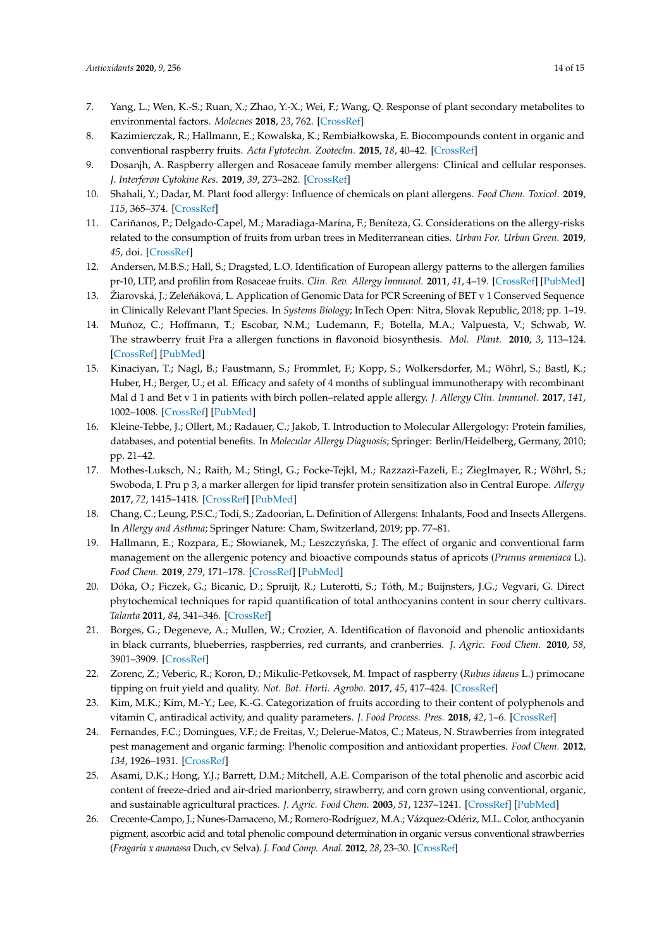- <span id="page-13-0"></span>7. Yang, L.; Wen, K.-S.; Ruan, X.; Zhao, Y.-X.; Wei, F.; Wang, Q. Response of plant secondary metabolites to environmental factors. *Molecues* **2018**, *23*, 762. [\[CrossRef\]](http://dx.doi.org/10.3390/molecules23040762)
- <span id="page-13-1"></span>8. Kazimierczak, R.; Hallmann, E.; Kowalska, K.; Rembiałkowska, E. Biocompounds content in organic and conventional raspberry fruits. *Acta Fytotechn. Zootechn.* **2015**, *18*, 40–42. [\[CrossRef\]](http://dx.doi.org/10.15414/afz.2015.18.si.40-42)
- <span id="page-13-2"></span>9. Dosanjh, A. Raspberry allergen and Rosaceae family member allergens: Clinical and cellular responses. *J. Interferon Cytokine Res.* **2019**, *39*, 273–282. [\[CrossRef\]](http://dx.doi.org/10.1089/jir.2019.0023)
- <span id="page-13-3"></span>10. Shahali, Y.; Dadar, M. Plant food allergy: Influence of chemicals on plant allergens. *Food Chem. Toxicol.* **2019**, *115*, 365–374. [\[CrossRef\]](http://dx.doi.org/10.1016/j.fct.2018.03.032)
- <span id="page-13-4"></span>11. Cariñanos, P.; Delgado-Capel, M.; Maradiaga-Marína, F.; Beníteza, G. Considerations on the allergy-risks related to the consumption of fruits from urban trees in Mediterranean cities. *Urban For. Urban Green.* **2019**, *45*, doi. [\[CrossRef\]](http://dx.doi.org/10.1016/j.ufug.2019.03.007)
- <span id="page-13-5"></span>12. Andersen, M.B.S.; Hall, S.; Dragsted, L.O. Identification of European allergy patterns to the allergen families pr-10, LTP, and profilin from Rosaceae fruits. *Clin. Rev. Allergy Immunol.* **2011**, *41*, 4–19. [\[CrossRef\]](http://dx.doi.org/10.1007/s12016-009-8177-3) [\[PubMed\]](http://www.ncbi.nlm.nih.gov/pubmed/19851893)
- <span id="page-13-6"></span>13. Žiarovská, J.; Zeleňáková, L. Application of Genomic Data for PCR Screening of BET v 1 Conserved Sequence in Clinically Relevant Plant Species. In *Systems Biology*; InTech Open: Nitra, Slovak Republic, 2018; pp. 1–19.
- <span id="page-13-7"></span>14. Muñoz, C.; Hoffmann, T.; Escobar, N.M.; Ludemann, F.; Botella, M.A.; Valpuesta, V.; Schwab, W. The strawberry fruit Fra a allergen functions in flavonoid biosynthesis. *Mol. Plant.* **2010**, *3*, 113–124. [\[CrossRef\]](http://dx.doi.org/10.1093/mp/ssp087) [\[PubMed\]](http://www.ncbi.nlm.nih.gov/pubmed/19969523)
- <span id="page-13-8"></span>15. Kinaciyan, T.; Nagl, B.; Faustmann, S.; Frommlet, F.; Kopp, S.; Wolkersdorfer, M.; Wöhrl, S.; Bastl, K.; Huber, H.; Berger, U.; et al. Efficacy and safety of 4 months of sublingual immunotherapy with recombinant Mal d 1 and Bet v 1 in patients with birch pollen–related apple allergy. *J. Allergy Clin. Immunol.* **2017**, *141*, 1002–1008. [\[CrossRef\]](http://dx.doi.org/10.1016/j.jaci.2017.07.036) [\[PubMed\]](http://www.ncbi.nlm.nih.gov/pubmed/28870463)
- <span id="page-13-9"></span>16. Kleine-Tebbe, J.; Ollert, M.; Radauer, C.; Jakob, T. Introduction to Molecular Allergology: Protein families, databases, and potential benefits. In *Molecular Allergy Diagnosis*; Springer: Berlin/Heidelberg, Germany, 2010; pp. 21–42.
- <span id="page-13-10"></span>17. Mothes-Luksch, N.; Raith, M.; Stingl, G.; Focke-Tejkl, M.; Razzazi-Fazeli, E.; Zieglmayer, R.; Wöhrl, S.; Swoboda, I. Pru p 3, a marker allergen for lipid transfer protein sensitization also in Central Europe. *Allergy* **2017**, *72*, 1415–1418. [\[CrossRef\]](http://dx.doi.org/10.1111/all.13151) [\[PubMed\]](http://www.ncbi.nlm.nih.gov/pubmed/28252802)
- <span id="page-13-11"></span>18. Chang, C.; Leung, P.S.C.; Todi, S.; Zadoorian, L. Definition of Allergens: Inhalants, Food and Insects Allergens. In *Allergy and Asthma*; Springer Nature: Cham, Switzerland, 2019; pp. 77–81.
- <span id="page-13-12"></span>19. Hallmann, E.; Rozpara, E.; Słowianek, M.; Leszczyńska, J. The effect of organic and conventional farm management on the allergenic potency and bioactive compounds status of apricots (*Prunus armeniaca* L). *Food Chem.* **2019**, *279*, 171–178. [\[CrossRef\]](http://dx.doi.org/10.1016/j.foodchem.2018.12.018) [\[PubMed\]](http://www.ncbi.nlm.nih.gov/pubmed/30611476)
- <span id="page-13-13"></span>20. Dóka, O.; Ficzek, G.; Bicanic, D.; Spruijt, R.; Luterotti, S.; Tóth, M.; Buijnsters, J.G.; Vegvari, G. Direct phytochemical techniques for rapid quantification of total anthocyanins content in sour cherry cultivars. *Talanta* **2011**, *84*, 341–346. [\[CrossRef\]](http://dx.doi.org/10.1016/j.talanta.2011.01.007)
- 21. Borges, G.; Degeneve, A.; Mullen, W.; Crozier, A. Identification of flavonoid and phenolic antioxidants in black currants, blueberries, raspberries, red currants, and cranberries. *J. Agric. Food Chem.* **2010**, *58*, 3901–3909. [\[CrossRef\]](http://dx.doi.org/10.1021/jf902263n)
- <span id="page-13-18"></span>22. Zorenc, Z.; Veberic, R.; Koron, D.; Mikulic-Petkovsek, M. Impact of raspberry (*Rubus idaeus* L.) primocane tipping on fruit yield and quality. *Not. Bot. Horti. Agrobo.* **2017**, *45*, 417–424. [\[CrossRef\]](http://dx.doi.org/10.15835/nbha45210876)
- <span id="page-13-14"></span>23. Kim, M.K.; Kim, M.-Y.; Lee, K.-G. Categorization of fruits according to their content of polyphenols and vitamin C, antiradical activity, and quality parameters. *J. Food Process. Pres.* **2018**, *42*, 1–6. [\[CrossRef\]](http://dx.doi.org/10.1111/jfpp.13421)
- <span id="page-13-15"></span>24. Fernandes, F.C.; Domingues, V.F.; de Freitas, V.; Delerue-Matos, C.; Mateus, N. Strawberries from integrated pest management and organic farming: Phenolic composition and antioxidant properties. *Food Chem.* **2012**, *134*, 1926–1931. [\[CrossRef\]](http://dx.doi.org/10.1016/j.foodchem.2012.03.130)
- <span id="page-13-16"></span>25. Asami, D.K.; Hong, Y.J.; Barrett, D.M.; Mitchell, A.E. Comparison of the total phenolic and ascorbic acid content of freeze-dried and air-dried marionberry, strawberry, and corn grown using conventional, organic, and sustainable agricultural practices. *J. Agric. Food Chem.* **2003**, *51*, 1237–1241. [\[CrossRef\]](http://dx.doi.org/10.1021/jf020635c) [\[PubMed\]](http://www.ncbi.nlm.nih.gov/pubmed/12590461)
- <span id="page-13-17"></span>26. Crecente-Campo, J.; Nunes-Damaceno, M.; Romero-Rodríguez, M.A.; Vázquez-Odériz, M.L. Color, anthocyanin pigment, ascorbic acid and total phenolic compound determination in organic versus conventional strawberries (*Fragaria x ananassa* Duch, cv Selva). *J. Food Comp. Anal.* **2012**, *28*, 23–30. [\[CrossRef\]](http://dx.doi.org/10.1016/j.jfca.2012.07.004)